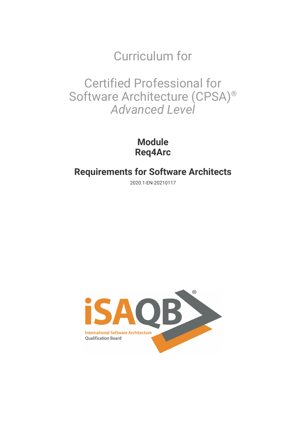Curriculum for

Certified Professional for Software Architecture (CPSA)® *Advanced Level*

> **Module Req4Arc**

# **Requirements for Software Architects**

2020.1-EN-20210117

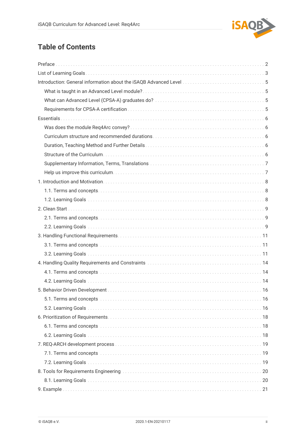

# **Table of Contents**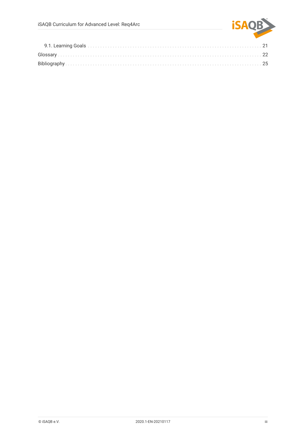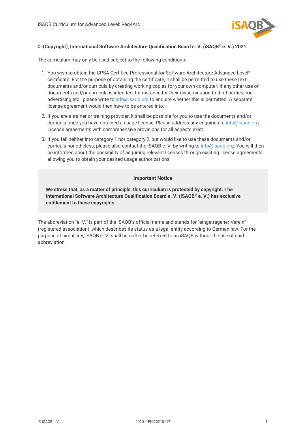

### **© (Copyright), International Software Architecture Qualification Board e. V. (iSAQB® e. V.) 2021**

The curriculum may only be used subject to the following conditions:

- 1. You wish to obtain the CPSA Certified Professional for Software Architecture Advanced Level® certificate. For the purpose of obtaining the certificate, it shall be permitted to use these text documents and/or curricula by creating working copies for your own computer. If any other use of documents and/or curricula is intended, for instance for their dissemination to third parties, for advertising etc., please write to [info@isaqb.org](mailto:info@isaqb.org) to enquire whether this is permitted. A separate license agreement would then have to be entered into.
- 2. If you are a trainer or training provider, it shall be possible for you to use the documents and/or curricula once you have obtained a usage license. Please address any enquiries to [info@isaqb.org.](mailto:info@isaqb.org) License agreements with comprehensive provisions for all aspects exist.
- 3. If you fall neither into category 1 nor category 2, but would like to use these documents and/or curricula nonetheless, please also contact the iSAQB e. V. by writing to [info@isaqb.org](mailto:info@isaqb.org). You will then be informed about the possibility of acquiring relevant licenses through existing license agreements, allowing you to obtain your desired usage authorizations.

#### **Important Notice**

**We stress that, as a matter of principle, this curriculum is protected by copyright. The International Software Architecture Qualification Board e. V. (iSAQB® e. V.) has exclusive entitlement to these copyrights.**

The abbreviation "e. V." is part of the iSAQB's official name and stands for "eingetragener Verein" (registered association), which describes its status as a legal entity according to German law. For the purpose of simplicity, iSAQB e. V. shall hereafter be referred to as iSAQB without the use of said abbreviation.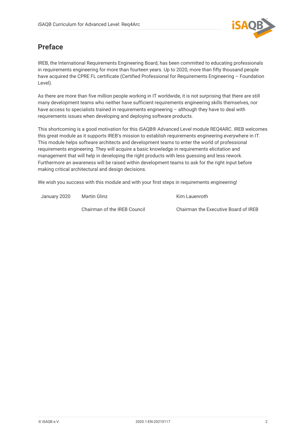

# <span id="page-4-0"></span>**Preface**

IREB, the International Requirements Engineering Board, has been committed to educating professionals in requirements engineering for more than fourteen years. Up to 2020, more than fifty thousand people have acquired the CPRE FL certificate (Certified Professional for Requirements Engineering – Foundation Level).

As there are more than five million people working in IT worldwide, it is not surprising that there are still many development teams who neither have sufficient requirements engineering skills themselves, nor have access to specialists trained in requirements engineering – although they have to deal with requirements issues when developing and deploying software products.

This shortcoming is a good motivation for this iSAQB® Advanced Level module REQ4ARC. IREB welcomes this great module as it supports IREB's mission to establish requirements engineering everywhere in IT. This module helps software architects and development teams to enter the world of professional requirements engineering. They will acquire a basic knowledge in requirements elicitation and management that will help in developing the right products with less guessing and less rework. Furthermore an awareness will be raised within development teams to ask for the right input before making critical architectural and design decisions.

We wish you success with this module and with your first steps in requirements engineering!

January 2020 Martin Glinz

Kim Lauenroth

Chairman of the IREB Council

Chairman the Executive Board of IREB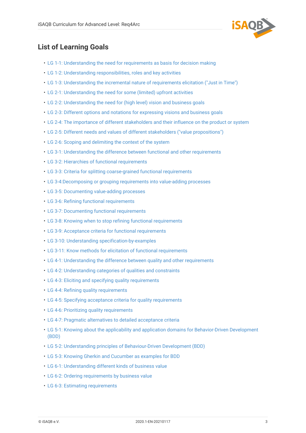

# <span id="page-5-0"></span>**List of Learning Goals**

- [LG 1-1: Understanding the need for requirements as basis for decision making](#page-10-3)
- [LG 1-2: Understanding responsibilities, roles and key activities](#page-10-4)
- [LG 1-3: Understanding the incremental nature of requirements elicitation \("Just in Time"\)](#page-10-5)
- [LG 2-1: Understanding the need for some \(limited\) upfront activities](#page-11-3)
- [LG 2-2: Understanding the need for \(high level\) vision and business goals](#page-11-4)
- [LG 2-3: Different options and notations for expressing visions and business goals](#page-11-5)
- [LG 2-4: The importance of different stakeholders and their influence on the product or system](#page-11-6)
- [LG 2-5: Different needs and values of different stakeholders \("value propositions"\)](#page-12-0)
- [LG 2-6: Scoping and delimiting the context of the system](#page-12-1)
- [LG 3-1: Understanding the difference between functional and other requirements](#page-13-3)
- [LG 3-2: Hierarchies of functional requirements](#page-13-4)
- [LG 3-3: Criteria for splitting coarse-grained functional requirements](#page-13-5)
- [LG 3-4:Decomposing or grouping requirements into value-adding processes](#page-13-6)
- [LG 3-5: Documenting value-adding processes](#page-14-0)
- [LG 3-6: Refining functional requirements](#page-14-1)
- [LG 3-7: Documenting functional requirements](#page-14-2)
- [LG 3-8: Knowing when to stop refining functional requirements](#page-14-3)
- [LG 3-9: Acceptance criteria for functional requirements](#page-14-4)
- [LG 3-10: Understanding specification-by-examples](#page-14-5)
- [LG 3-11: Know methods for elicitation of functional requirements](#page-15-0)
- [LG 4-1: Understanding the difference between quality and other requirements](#page-16-3)
- [LG 4-2: Understanding categories of qualities and constraints](#page-16-4)
- [LG 4-3: Eliciting and specifying quality requirements](#page-16-5)
- [LG 4-4: Refining quality requirements](#page-16-6)
- [LG 4-5: Specifying acceptance criteria for quality requirements](#page-17-0)
- [LG 4-6: Prioritizing quality requirements](#page-17-1)
- [LG 4-7: Pragmatic alternatives to detailed acceptance criteria](#page-17-2)
- [LG 5-1: Knowing about the applicability and application domains for Behavior-Driven Development](#page-18-3) [\(BDD\)](#page-18-3)
- [LG 5-2: Understanding principles of Behaviour-Driven Development \(BDD\)](#page-18-4)
- [LG 5-3: Knowing Gherkin and Cucumber as examples for BDD](#page-18-5)
- [LG 6-1: Understanding different kinds of business value](#page-20-3)
- [LG 6-2: Ordering requirements by business value](#page-20-4)
- [LG 6-3: Estimating requirements](#page-20-5)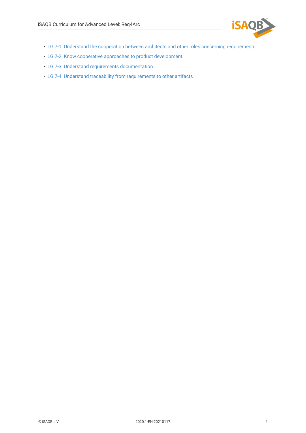

- [LG 7-1: Understand the cooperation between architects and other roles concerning requirements](#page-21-3)
- [LG 7-2: Know cooperative approaches to product development](#page-21-4)
- [LG 7-3: Understand requirements documentation](#page-21-5)
- [LG 7-4: Understand traceability from requirements to other artifacts](#page-21-6)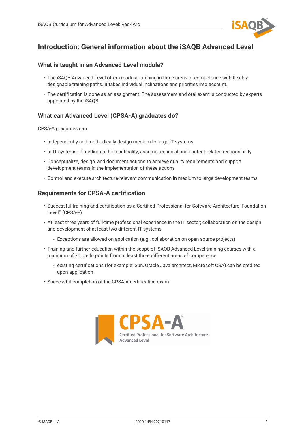

# <span id="page-7-0"></span>**Introduction: General information about the iSAQB Advanced Level**

# <span id="page-7-1"></span>**What is taught in an Advanced Level module?**

- The iSAQB Advanced Level offers modular training in three areas of competence with flexibly designable training paths. It takes individual inclinations and priorities into account.
- The certification is done as an assignment. The assessment and oral exam is conducted by experts appointed by the iSAQB.

# <span id="page-7-2"></span>**What can Advanced Level (CPSA-A) graduates do?**

CPSA-A graduates can:

- Independently and methodically design medium to large IT systems
- In IT systems of medium to high criticality, assume technical and content-related responsibility
- Conceptualize, design, and document actions to achieve quality requirements and support development teams in the implementation of these actions
- Control and execute architecture-relevant communication in medium to large development teams

# <span id="page-7-3"></span>**Requirements for CPSA-A certification**

- Successful training and certification as a Certified Professional for Software Architecture, Foundation Level® (CPSA-F)
- At least three years of full-time professional experience in the IT sector; collaboration on the design and development of at least two different IT systems
	- Exceptions are allowed on application (e.g., collaboration on open source projects)
- Training and further education within the scope of iSAQB Advanced Level training courses with a minimum of 70 credit points from at least three different areas of competence
	- existing certifications (for example: Sun/Oracle Java architect, Microsoft CSA) can be credited upon application
- Successful completion of the CPSA-A certification exam

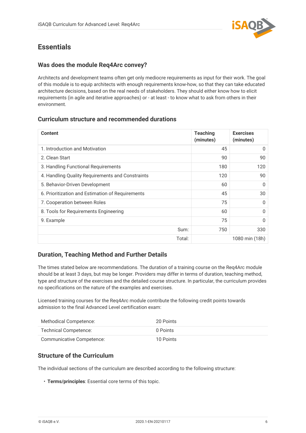

# <span id="page-8-0"></span>**Essentials**

# <span id="page-8-1"></span>**Was does the module Req4Arc convey?**

Architects and development teams often get only mediocre requirements as input for their work. The goal of this module is to equip architects with enough requirements know-how, so that they can take educated architecture decisions, based on the real needs of stakeholders. They should either know how to elicit requirements (in agile and iterative approaches) or - at least - to know what to ask from others in their environment.

# <span id="page-8-2"></span>**Curriculum structure and recommended durations**

| <b>Content</b>                                   | <b>Teaching</b><br>(minutes) | <b>Exercises</b><br>(minutes) |
|--------------------------------------------------|------------------------------|-------------------------------|
| 1. Introduction and Motivation                   | 45                           | $\Omega$                      |
| 2. Clean Start                                   | 90                           | 90                            |
| 3. Handling Functional Requirements              | 180                          | 120                           |
| 4. Handling Quality Requirements and Constraints | 120                          | 90                            |
| 5. Behavior-Driven Development                   | 60                           | O                             |
| 6. Prioritization and Estimation of Requirements | 45                           | 30                            |
| 7. Cooperation between Roles                     | 75                           | $\Omega$                      |
| 8. Tools for Requirements Engineering            | 60                           | $\Omega$                      |
| 9. Example                                       | 75                           | $\Omega$                      |
| Sum:                                             | 750                          | 330                           |
| Total:                                           |                              | 1080 min (18h)                |

# <span id="page-8-3"></span>**Duration, Teaching Method and Further Details**

The times stated below are recommendations. The duration of a training course on the Req4Arc module should be at least 3 days, but may be longer. Providers may differ in terms of duration, teaching method, type and structure of the exercises and the detailed course structure. In particular, the curriculum provides no specifications on the nature of the examples and exercises.

Licensed training courses for the Req4Arc module contribute the following credit points towards admission to the final Advanced Level certification exam:

| Methodical Competence:    | 20 Points |
|---------------------------|-----------|
| Technical Competence:     | 0 Points  |
| Communicative Competence: | 10 Points |

# <span id="page-8-4"></span>**Structure of the Curriculum**

The individual sections of the curriculum are described according to the following structure:

• **Terms/principles**: Essential core terms of this topic.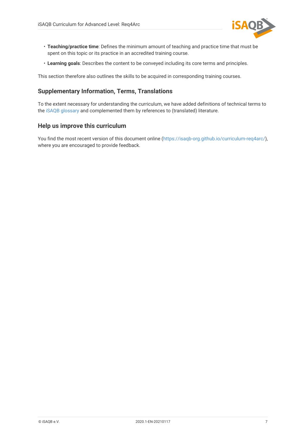

- **Teaching/practice time**: Defines the minimum amount of teaching and practice time that must be spent on this topic or its practice in an accredited training course.
- **Learning goals**: Describes the content to be conveyed including its core terms and principles.

This section therefore also outlines the skills to be acquired in corresponding training courses.

# <span id="page-9-0"></span>**Supplementary Information, Terms, Translations**

To the extent necessary for understanding the curriculum, we have added definitions of technical terms to the [iSAQB glossary](https://github.com/isaqb-org/glossary) and complemented them by references to (translated) literature.

# <span id="page-9-1"></span>**Help us improve this curriculum**

You find the most recent version of this document online ([https://isaqb-org.github.io/curriculum-req4arc/\)](https://isaqb-org.github.io/curriculum-req4arc/), where you are encouraged to provide feedback.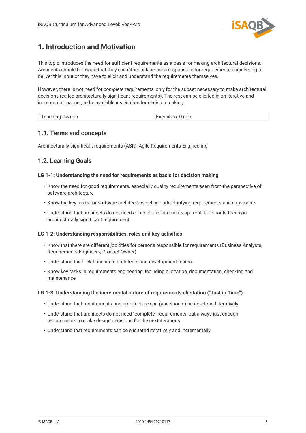

# <span id="page-10-0"></span>**1. Introduction and Motivation**

This topic introduces the need for sufficient requirements as a basis for making architectural decisions. Architects should be aware that they can either ask persons responsible for requirements engineering to deliver this input or they have to elicit and understand the requirements themselves.

However, there is not need for *complete* requirements, only for the subset necessary to make architectural decisions (called architecturally significant requirements). The rest can be elicited in an iterative and incremental manner, to be available *just in time* for decision making.

| Teaching: 45 min<br>$1$ cubining. | Exercises: 0 min |
|-----------------------------------|------------------|
|-----------------------------------|------------------|

# <span id="page-10-1"></span>**1.1. Terms and concepts**

Architecturally significant requirements (ASR), Agile Requirements Engineering

# <span id="page-10-2"></span>**1.2. Learning Goals**

### <span id="page-10-3"></span>**LG 1-1: Understanding the need for requirements as basis for decision making**

- Know the need for good requirements, especially quality requirements seen from the perspective of software architecture
- Know the key tasks for software architects which include clarifying requirements and constraints
- Understand that architects do not need complete requirements up-front, but should focus on architecturally significant requirement

#### <span id="page-10-4"></span>**LG 1-2: Understanding responsibilities, roles and key activities**

- Know that there are different job titles for persons responsible for requirements (Business Analysts, Requirements Engineers, Product Owner)
- Understand their relationship to architects and development teams.
- Know key tasks in requirements engineering, including elicitation, documentation, checking and maintenance

#### <span id="page-10-5"></span>**LG 1-3: Understanding the incremental nature of requirements elicitation ("Just in Time")**

- Understand that requirements and architecture can (and should) be developed iteratively
- Understand that architects do not need "complete" requirements, but always just enough requirements to make design decisions for the next iterations
- Understand that requirements can be elicitated iteratively and incrementally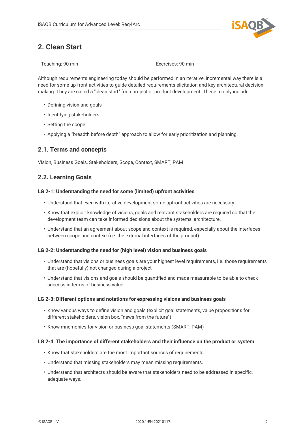

# <span id="page-11-0"></span>**2. Clean Start**

| Teaching: 90 min | Exercises: 90 min |
|------------------|-------------------|
|                  |                   |

Although requirements engineering today should be performed in an iterative, incremental way there is a need for some up-front activities to guide detailed requirements elicitation and key architectural decision making. They are called a "clean start" for a project or product development. These mainly include:

- Defining vision and goals
- Identifying stakeholders
- Setting the scope
- Applying a "breadth before depth" approach to allow for early prioritization and planning.

# <span id="page-11-1"></span>**2.1. Terms and concepts**

Vision, Business Goals, Stakeholders, Scope, Context, SMART, PAM

# <span id="page-11-2"></span>**2.2. Learning Goals**

## <span id="page-11-3"></span>**LG 2-1: Understanding the need for some (limited) upfront activities**

- Understand that even with iterative development some upfront activities are necessary.
- Know that explicit knowledge of visions, goals and relevant stakeholders are required so that the development team can take informed decisions about the systems' architecture.
- Understand that an agreement about scope and context is required, especially about the interfaces between scope and context (i.e. the external interfaces of the product).

## <span id="page-11-4"></span>**LG 2-2: Understanding the need for (high level) vision and business goals**

- Understand that visions or business goals are your highest level requirements, i.e. those requirements that are (hopefully) not changed during a project
- Understand that visions and goals should be quantified and made measurable to be able to check success in terms of business value.

#### <span id="page-11-5"></span>**LG 2-3: Different options and notations for expressing visions and business goals**

- Know various ways to define vision and goals (explicit goal statements, value propositions for different stakeholders, vision box, "news from the future")
- Know mnemonics for vision or business goal statements (SMART, PAM)

## <span id="page-11-6"></span>**LG 2-4: The importance of different stakeholders and their influence on the product or system**

- Know that stakeholders are the most important sources of requirements.
- Understand that missing stakeholders may mean missing requirements.
- Understand that architects should be aware that stakeholders need to be addressed in specific, adequate ways.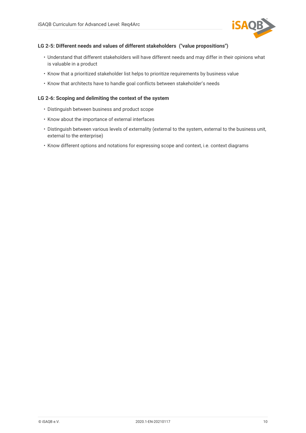

### <span id="page-12-0"></span>**LG 2-5: Different needs and values of different stakeholders ("value propositions")**

- Understand that different stakeholders will have different needs and may differ in their opinions what is valuable in a product
- Know that a prioritized stakeholder list helps to prioritize requirements by business value
- Know that architects have to handle goal conflicts between stakeholder's needs

### <span id="page-12-1"></span>**LG 2-6: Scoping and delimiting the context of the system**

- Distinguish between business and product scope
- Know about the importance of external interfaces
- Distinguish between various levels of externality (external to the system, external to the business unit, external to the enterprise)
- Know different options and notations for expressing scope and context, i.e. context diagrams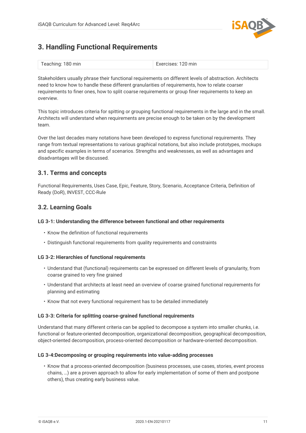

# <span id="page-13-0"></span>**3. Handling Functional Requirements**

| Teaching: 180 min | Exercises: 120 min |
|-------------------|--------------------|
|-------------------|--------------------|

Stakeholders usually phrase their functional requirements on different levels of abstraction. Architects need to know how to handle these different granularities of requirements, how to relate coarser requirements to finer ones, how to split coarse requirements or group finer requirements to keep an overview.

This topic introduces criteria for spitting or grouping functional requirements in the large and in the small. Architects will understand when requirements are precise enough to be taken on by the development team.

Over the last decades many notations have been developed to express functional requirements. They range from textual representations to various graphical notations, but also include prototypes, mockups and specific examples in terms of scenarios. Strengths and weaknesses, as well as advantages and disadvantages will be discussed.

# <span id="page-13-1"></span>**3.1. Terms and concepts**

Functional Requirements, Uses Case, Epic, Feature, Story, Scenario, Acceptance Criteria, Definition of Ready (DoR), INVEST, CCC-Rule

# <span id="page-13-2"></span>**3.2. Learning Goals**

## <span id="page-13-3"></span>**LG 3-1: Understanding the difference between functional and other requirements**

- Know the definition of functional requirements
- Distinguish functional requirements from quality requirements and constraints

## <span id="page-13-4"></span>**LG 3-2: Hierarchies of functional requirements**

- Understand that (functional) requirements can be expressed on different levels of granularity, from coarse grained to very fine grained
- Understand that architects at least need an overview of coarse grained functional requirements for planning and estimating
- Know that not every functional requirement has to be detailed immediately

## <span id="page-13-5"></span>**LG 3-3: Criteria for splitting coarse-grained functional requirements**

Understand that many different criteria can be applied to decompose a system into smaller chunks, i.e. functional or feature-oriented decomposition, organizational decomposition, geographical decomposition, object-oriented decomposition, process-oriented decomposition or hardware-oriented decomposition.

## <span id="page-13-6"></span>**LG 3-4:Decomposing or grouping requirements into value-adding processes**

• Know that a process-oriented decomposition (business processes, use cases, stories, event process chains, …) are a proven approach to allow for early implementation of some of them and postpone others), thus creating early business value.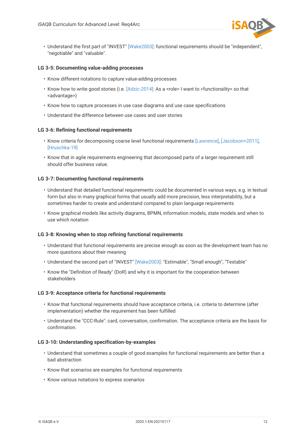

• Understand the first part of "INVEST" [\[Wake2003\]:](#page-28-0) functional requirements should be "independent", "negotiable" and "valuable".

### <span id="page-14-0"></span>**LG 3-5: Documenting value-adding processes**

- Know different notations to capture value-adding processes
- Know how to write good stories (i.e. [\[Adzic-2014\]](#page-27-1): As a <role> I want to <functionality> so that <advantage>)
- Know how to capture processes in use case diagrams and use case specifications
- Understand the difference between use cases and user stories

### <span id="page-14-1"></span>**LG 3-6: Refining functional requirements**

- Know criteria for decomposing coarse level functional requirements [\[Lawrence\],](#page-28-1) [\[Jacobson+2011\]](#page-27-2), [\[Hruschka-19\]](#page-27-3)
- Know that in agile requirements engineering that decomposed parts of a larger requirement still should offer business value.

### <span id="page-14-2"></span>**LG 3-7: Documenting functional requirements**

- Understand that detailed functional requirements could be documented in various ways, e.g. in textual form but also in many graphical forms that usually add more precision, less interpretability, but a sometimes harder to create and understand compared to plain language requirements
- Know graphical models like activity diagrams, BPMN, information models, state models and when to use which notation

#### <span id="page-14-3"></span>**LG 3-8: Knowing when to stop refining functional requirements**

- Understand that functional requirements are precise enough as soon as the development team has no more questions about their meaning
- Understand the second part of "INVEST" [\[Wake2003\]:](#page-28-0) "Estimable", "Small enough", "Testable"
- Know the "Definition of Ready" (DoR) and why it is important for the cooperation between stakeholders

#### <span id="page-14-4"></span>**LG 3-9: Acceptance criteria for functional requirements**

- Know that functional requirements should have acceptance criteria, i.e. criteria to determine (after implementation) whether the requirement has been fulfilled
- Understand the "CCC-Rule": card, conversation, confirmation. The acceptance criteria are the basis for confirmation.

#### <span id="page-14-5"></span>**LG 3-10: Understanding specification-by-examples**

- Understand that sometimes a couple of good examples for functional requirements are better than a bad abstraction
- Know that scenarios are examples for functional requirements
- Know various notations to express scenarios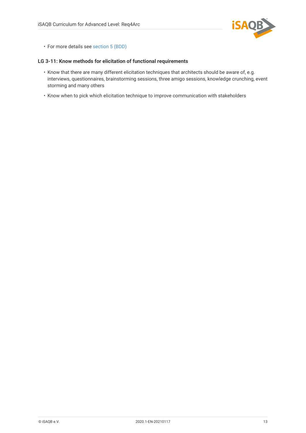

• For more details see [section 5 \(BDD\)](#page-18-0)

### <span id="page-15-0"></span>**LG 3-11: Know methods for elicitation of functional requirements**

- Know that there are many different elicitation techniques that architects should be aware of, e.g. interviews, questionnaires, brainstorming sessions, three amigo sessions, knowledge crunching, event storming and many others
- Know when to pick which elicitation technique to improve communication with stakeholders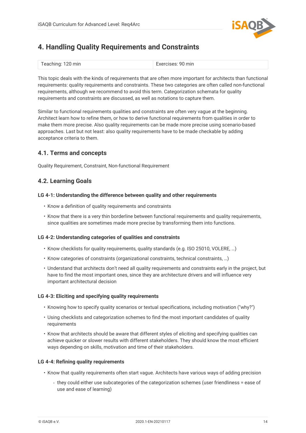

# <span id="page-16-0"></span>**4. Handling Quality Requirements and Constraints**

| Teaching: 120 min | Exercises: 90 min |
|-------------------|-------------------|
|-------------------|-------------------|

This topic deals with the kinds of requirements that are often more important for architects than functional requirements: quality requirements and constraints. These two categories are often called non-functional requirements, although we recommend to avoid this term. Categorization schemata for quality requirements and constraints are discussed, as well as notations to capture them.

Similar to functional requirements qualities and constraints are often very vague at the beginning. Architect learn how to refine them, or how to derive functional requirements from qualities in order to make them more precise. Also quality requirements can be made more precise using scenario-based approaches. Last but not least: also quality requirements have to be made checkable by adding acceptance criteria to them.

# <span id="page-16-1"></span>**4.1. Terms and concepts**

Quality Requirement, Constraint, Non-functional Requirement

# <span id="page-16-2"></span>**4.2. Learning Goals**

### <span id="page-16-3"></span>**LG 4-1: Understanding the difference between quality and other requirements**

- Know a definition of quality requirements and constraints
- Know that there is a very thin borderline between functional requirements and quality requirements, since qualities are sometimes made more precise by transforming them into functions.

## <span id="page-16-4"></span>**LG 4-2: Understanding categories of qualities and constraints**

- Know checklists for quality requirements, quality standards (e.g. ISO 25010, VOLERE, …)
- Know categories of constraints (organizational constraints, technical constraints, …)
- Understand that architects don't need all quality requirements and constraints early in the project, but have to find the most important ones, since they are architecture drivers and will influence very important architectural decision

## <span id="page-16-5"></span>**LG 4-3: Eliciting and specifying quality requirements**

- Knowing how to specify quality scenarios or textual specifications, including motivation ("why?")
- Using checklists and categorization schemes to find the most important candidates of quality requirements
- Know that architects should be aware that different styles of eliciting and specifying qualities can achieve quicker or slower results with different stakeholders. They should know the most efficient ways depending on skills, motivation and time of their stakeholders.

## <span id="page-16-6"></span>**LG 4-4: Refining quality requirements**

- Know that quality requirements often start vague. Architects have various ways of adding precision
	- they could either use subcategories of the categorization schemes (user friendliness = ease of use and ease of learning)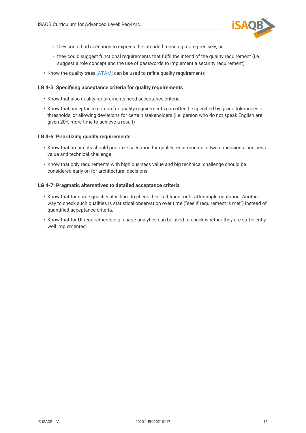

- they could find scenarios to express the intended meaning more precisely, or
- they could suggest functional requirements that fulfil the intend of the quality requirement (i.e. suggest a role concept and the use of passwords to implement a security requirement)
- Know the quality trees [\[ATAM\]](#page-27-4) can be used to refine quality requirements

### <span id="page-17-0"></span>**LG 4-5: Specifying acceptance criteria for quality requirements**

- Know that also quality requirements need acceptance criteria
- Know that acceptance criteria for quality requirements can often be specified by giving tolerances or thresholds, or allowing deviations for certain stakeholders (i.e. person who do not speak English are given 20% more time to achieve a result)

### <span id="page-17-1"></span>**LG 4-6: Prioritizing quality requirements**

- Know that architects should prioritize scenarios for quality requirements in two dimensions: business value and technical challenge
- Know that only requirements with high business value and big technical challenge should be considered early on for architectural decisions

#### <span id="page-17-2"></span>**LG 4-7: Pragmatic alternatives to detailed acceptance criteria**

- Know that for some qualities it is hard to check their fulfilment right after implementation. Another way to check such qualities is statistical observation over time ("see if requirement is met") instead of quantified acceptance criteria.
- Know that for UI-requirements e.g. usage-analytics can be used to check whether they are sufficiently well implemented.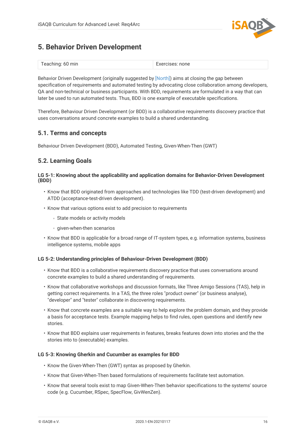

# <span id="page-18-0"></span>**5. Behavior Driven Development**

| Teaching: 60 min | Exercises: none |
|------------------|-----------------|
|------------------|-----------------|

Behavior Driven Development (originally suggested by [\[North\]\)](#page-28-2) aims at closing the gap between specification of requirements and automated testing by advocating close collaboration among developers, QA and non-technical or business participants. With BDD, requirements are formulated in a way that can later be used to run automated tests. Thus, BDD is one example of executable specifications.

Therefore, Behaviour Driven Development (or BDD) is a collaborative requirements discovery practice that uses conversations around concrete examples to build a shared understanding.

# <span id="page-18-1"></span>**5.1. Terms and concepts**

Behaviour Driven Development (BDD), Automated Testing, Given-When-Then (GWT)

# <span id="page-18-2"></span>**5.2. Learning Goals**

### <span id="page-18-3"></span>**LG 5-1: Knowing about the applicability and application domains for Behavior-Driven Development (BDD)**

- Know that BDD originated from approaches and technologies like TDD (test-driven development) and ATDD (acceptance-test-driven development).
- Know that various options exist to add precision to requirements
	- State models or activity models
	- given-when-then scenarios
- Know that BDD is applicable for a broad range of IT-system types, e.g. information systems, business intelligence systems, mobile apps

## <span id="page-18-4"></span>**LG 5-2: Understanding principles of Behaviour-Driven Development (BDD)**

- Know that BDD is a collaborative requirements discovery practice that uses conversations around concrete examples to build a shared understanding of requirements.
- Know that collaborative workshops and discussion formats, like Three Amigo Sessions (TAS), help in getting correct requirements. In a TAS, the three roles "product owner" (or business analyse), "developer" and "tester" collaborate in discovering requirements.
- Know that concrete examples are a suitable way to help explore the problem domain, and they provide a basis for acceptance tests. Example mapping helps to find rules, open questions and identify new stories.
- Know that BDD explains user requirements in features, breaks features down into stories and the the stories into to (executable) examples.

## <span id="page-18-5"></span>**LG 5-3: Knowing Gherkin and Cucumber as examples for BDD**

- Know the Given-When-Then (GWT) syntax as proposed by Gherkin.
- Know that Given-When-Then based formulations of requirements facilitate test automation.
- Know that several tools exist to map Given-When-Then behavior specifications to the systems' source code (e.g. Cucumber, RSpec, SpecFlow, GivWenZen).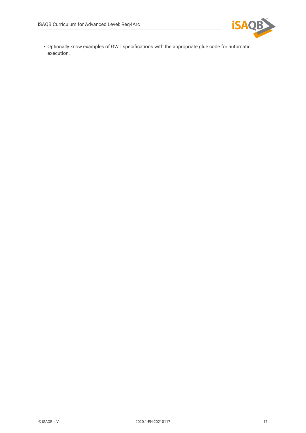

• Optionally know examples of GWT specifications with the appropriate glue code for automatic execution.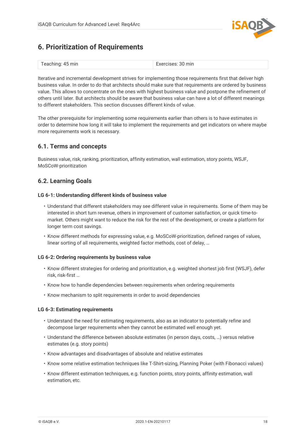

# <span id="page-20-0"></span>**6. Prioritization of Requirements**

| Teaching: 45 min | Exercises: 30 min |
|------------------|-------------------|
|------------------|-------------------|

Iterative and incremental development strives for implementing those requirements first that deliver high business value. In order to do that architects should make sure that requirements are ordered by business value. This allows to concentrate on the ones with highest business value and postpone the refinement of others until later. But architects should be aware that business value can have a lot of different meanings to different stakeholders. This section discusses different kinds of value.

The other prerequisite for implementing some requirements earlier than others is to have estimates in order to determine how long it will take to implement the requirements and get indicators on where maybe more requirements work is necessary.

# <span id="page-20-1"></span>**6.1. Terms and concepts**

Business value, risk, ranking, prioritization, affinity estimation, wall estimation, story points, WSJF, MoSCoW-prioritization

# <span id="page-20-2"></span>**6.2. Learning Goals**

### <span id="page-20-3"></span>**LG 6-1: Understanding different kinds of business value**

- Understand that different stakeholders may see different value in requirements. Some of them may be interested in short turn revenue, others in improvement of customer satisfaction, or quick time-tomarket. Others might want to reduce the risk for the rest of the development, or create a platform for longer term cost savings.
- Know different methods for expressing value, e.g. MoSCoW-prioritization, defined ranges of values, linear sorting of all requirements, weighted factor methods, cost of delay, …

#### <span id="page-20-4"></span>**LG 6-2: Ordering requirements by business value**

- Know different strategies for ordering and prioritization, e.g. weighted shortest job first (WSJF), defer risk, risk-first …
- Know how to handle dependencies between requirements when ordering requirements
- Know mechanism to split requirements in order to avoid dependencies

#### <span id="page-20-5"></span>**LG 6-3: Estimating requirements**

- Understand the need for estimating requirements, also as an indicator to potentially refine and decompose larger requirements when they cannot be estimated well enough yet.
- Understand the difference between absolute estimates (in person days, costs, …) versus relative estimates (e.g. story points)
- Know advantages and disadvantages of absolute and relative estimates
- Know some relative estimation techniques like T-Shirt-sizing, Planning Poker (with Fibonacci values)
- Know different estimation techniques, e.g. function points, story points, affinity estimation, wall estimation, etc.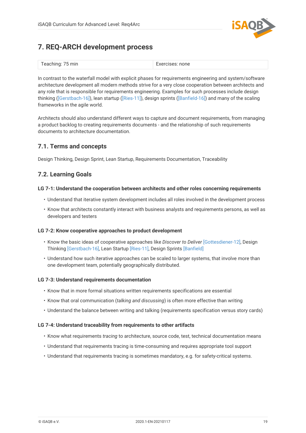

# <span id="page-21-0"></span>**7. REQ-ARCH development process**

| Teaching: 75 min | Exercises: none |
|------------------|-----------------|
|------------------|-----------------|

In contrast to the waterfall model with explicit phases for requirements engineering and system/software architecture development all modern methods strive for a very close cooperation between architects and any role that is responsible for requirements engineering. Examples for such processes include design thinking ([\[Gerstbach-16\]](#page-27-5)), lean startup ([\[Ries-11\]](#page-28-3)), design sprints ([\[Banfield-16\]](#page-27-6)) and many of the scaling frameworks in the agile world.

Architects should also understand different ways to capture and document requirements, from managing a product backlog to creating requirements documents - and the relationship of such requirements documents to architecture documentation.

# <span id="page-21-1"></span>**7.1. Terms and concepts**

Design Thinking, Design Sprint, Lean Startup, Requirements Documentation, Traceability

# <span id="page-21-2"></span>**7.2. Learning Goals**

## <span id="page-21-3"></span>**LG 7-1: Understand the cooperation between architects and other roles concerning requirements**

- Understand that iterative system development includes all roles involved in the development process
- Know that architects constantly interact with business analysts and requirements persons, as well as developers and testers

## <span id="page-21-4"></span>**LG 7-2: Know cooperative approaches to product development**

- Know the basic ideas of cooperative approaches like *Discover to Deliver* [\[Gottesdiener-12\],](#page-27-7) Design Thinking [\[Gerstbach-16\],](#page-27-5) Lean Startup [\[Ries-11\]](#page-28-3), Design Sprints [Banfield]
- Understand how such iterative approaches can be scaled to larger systems, that involve more than one development team, potentially geographically distributed.

## <span id="page-21-5"></span>**LG 7-3: Understand requirements documentation**

- Know that in more formal situations written requirements specifications are essential
- Know that oral communication (*talking and discussing*) is often more effective than writing
- Understand the balance between writing and talking (requirements specification versus story cards)

## <span id="page-21-6"></span>**LG 7-4: Understand traceability from requirements to other artifacts**

- Know what requirements *tracing* to architecture, source code, test, technical documentation means
- Understand that requirements tracing is time-consuming and requires appropriate tool support
- Understand that requirements tracing is sometimes mandatory, e.g. for safety-critical systems.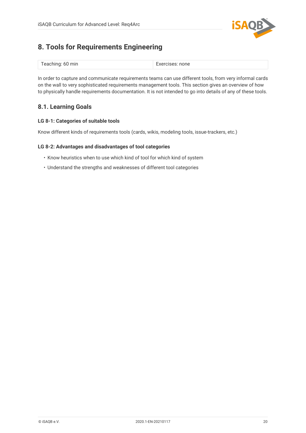

# <span id="page-22-0"></span>**8. Tools for Requirements Engineering**

| Teaching: 60 min | Exercises: none |
|------------------|-----------------|
|------------------|-----------------|

In order to capture and communicate requirements teams can use different tools, from very informal cards on the wall to very sophisticated requirements management tools. This section gives an overview of how to physically handle requirements documentation. It is not intended to go into details of any of these tools.

# <span id="page-22-1"></span>**8.1. Learning Goals**

## **LG 8-1: Categories of suitable tools**

Know different kinds of requirements tools (cards, wikis, modeling tools, issue-trackers, etc.)

## **LG 8-2: Advantages and disadvantages of tool categories**

- Know heuristics when to use which kind of tool for which kind of system
- Understand the strengths and weaknesses of different tool categories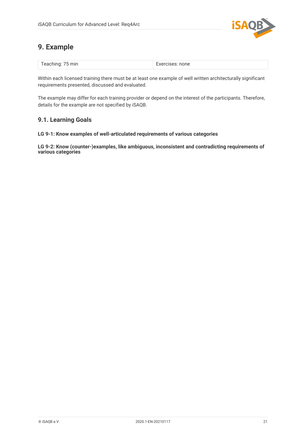

# <span id="page-23-0"></span>**9. Example**

| Teaching: 75 min<br><b>Expressionation</b><br>Exercises: none |
|---------------------------------------------------------------|
|---------------------------------------------------------------|

Within each licensed training there must be at least one example of well written architecturally significant requirements presented, discussed and evaluated.

The example may differ for each training provider or depend on the interest of the participants. Therefore, details for the example are not specified by iSAQB.

# <span id="page-23-1"></span>**9.1. Learning Goals**

## **LG 9-1: Know examples of well-articulated requirements of various categories**

**LG 9-2: Know (counter-)examples, like ambiguous, inconsistent and contradicting requirements of various categories**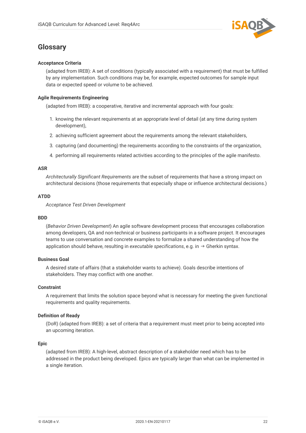

# <span id="page-24-0"></span>**Glossary**

## **Acceptance Criteria**

(adapted from IREB): A set of conditions (typically associated with a requirement) that must be fulfilled by any implementation. Such conditions may be, for example, expected outcomes for sample input data or expected speed or volume to be achieved.

## **Agile Requirements Engineering**

(adapted from IREB): a cooperative, iterative and incremental approach with four goals:

- 1. knowing the relevant requirements at an appropriate level of detail (at any time during system development),
- 2. achieving sufficient agreement about the requirements among the relevant stakeholders,
- 3. capturing (and documenting) the requirements according to the constraints of the organization,
- 4. performing all requirements related activities according to the principles of the agile manifesto.

## **ASR**

*Architecturally Significant Requirements* are the subset of requirements that have a strong impact on architectural decisions (those requirements that especially shape or influence architectural decisions.)

## **ATDD**

*Acceptance Test Driven Development*

#### **BDD**

(*Behavior Driven Development*) An agile software development process that encourages collaboration among developers, QA and non-technical or business participants in a software project. It encourages teams to use conversation and concrete examples to formalize a shared understanding of how the application should behave, resulting in *executable specifications*, e.g. in → Gherkin syntax.

## **Business Goal**

A desired state of affairs (that a stakeholder wants to achieve). Goals describe intentions of stakeholders. They may conflict with one another.

#### **Constraint**

A requirement that limits the solution space beyond what is necessary for meeting the given functional requirements and quality requirements.

## **Definition of Ready**

(DoR) (adapted from IREB): a set of criteria that a requirement must meet prior to being accepted into an upcoming iteration.

#### **Epic**

(adapted from IREB): A high-level, abstract description of a stakeholder need which has to be addressed in the product being developed. Epics are typically larger than what can be implemented in a single iteration.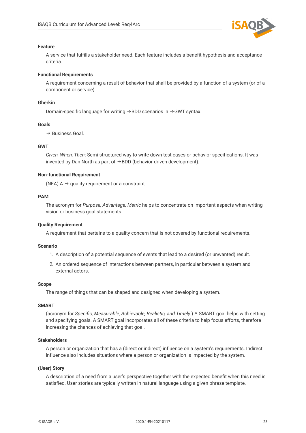

#### **Feature**

A service that fulfills a stakeholder need. Each feature includes a benefit hypothesis and acceptance criteria.

#### **Functional Requirements**

A requirement concerning a result of behavior that shall be provided by a function of a system (or of a component or service).

#### **Gherkin**

Domain-specific language for writing →BDD scenarios in →GWT syntax.

#### **Goals**

 $\rightarrow$  Business Goal.

#### **GWT**

*Given, When, Then*: Semi-structured way to write down test cases or behavior specifications. It was invented by Dan North as part of  $→$ BDD (behavior-driven development).

#### **Non-functional Requirement**

(NFA)  $A \rightarrow$  quality requirement or a constraint.

#### **PAM**

The acronym for *Purpose, Advantage, Metric* helps to concentrate on important aspects when writing vision or business goal statements

#### **Quality Requirement**

A requirement that pertains to a quality concern that is not covered by functional requirements.

#### **Scenario**

- 1. A description of a potential sequence of events that lead to a desired (or unwanted) result.
- 2. An ordered sequence of interactions between partners, in particular between a system and external actors.

#### **Scope**

The range of things that can be shaped and designed when developing a system.

#### **SMART**

(acronym for *Specific, Measurable, Achievable, Realistic, and Timely.*) A SMART goal helps with setting and specifying goals. A SMART goal incorporates all of these criteria to help focus efforts, therefore increasing the chances of achieving that goal.

#### **Stakeholders**

A person or organization that has a (direct or indirect) influence on a system's requirements. Indirect influence also includes situations where a person or organization is impacted by the system.

### **(User) Story**

A description of a need from a user's perspective together with the expected benefit when this need is satisfied. User stories are typically written in natural language using a given phrase template.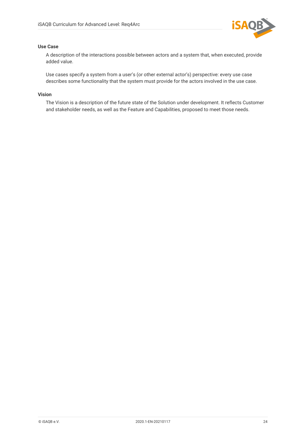

## **Use Case**

A description of the interactions possible between actors and a system that, when executed, provide added value.

Use cases specify a system from a user's (or other external actor's) perspective: every use case describes some functionality that the system must provide for the actors involved in the use case.

## **Vision**

The Vision is a description of the future state of the Solution under development. It reflects Customer and stakeholder needs, as well as the Feature and Capabilities, proposed to meet those needs.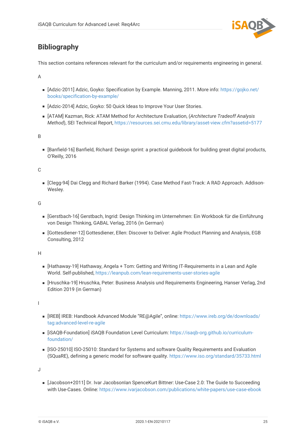

# <span id="page-27-0"></span>**Bibliography**

This section contains references relevant for the curriculum and/or requirements engineering in general.

A

- [Adzic-2011] Adzic, Goyko: Specification by Example. Manning, 2011. More info: [https://gojko.net/](https://gojko.net/books/specification-by-example/) [books/specification-by-example/](https://gojko.net/books/specification-by-example/)
- <span id="page-27-1"></span>■ [Adzic-2014] Adzic, Goyko: 50 Quick Ideas to Improve Your User Stories.
- <span id="page-27-4"></span>▪ [ATAM] Kazman, Rick: ATAM Method for Architecture Evaluation, (*Architecture Tradeoff Analysis Method*), SEI Technical Report, <https://resources.sei.cmu.edu/library/asset-view.cfm?assetid=5177>

B

<span id="page-27-6"></span>▪ [Banfield-16] Banfield, Richard: Design sprint: a practical guidebook for building great digital products, O'Reilly, 2016

C

▪ [Clegg-94] Dai Clegg and Richard Barker (1994). Case Method Fast-Track: A RAD Approach. Addison-Wesley.

G

- <span id="page-27-5"></span>▪ [Gerstbach-16] Gerstbach, Ingrid: Design Thinking im Unternehmen: Ein Workbook für die Einführung von Design Thinking, GABAL Verlag, 2016 (in German)
- <span id="page-27-7"></span>▪ [Gottesdiener-12] Gottesdiener, Ellen: Discover to Deliver: Agile Product Planning and Analysis, EGB Consulting, 2012

H

- **EXTERGHM THE THANGH THANG** IT-Requirements in a Lean and Agile IT-Requirements in a Lean and Agile World. Self-published,<https://leanpub.com/lean-requirements-user-stories-agile>
- <span id="page-27-3"></span>▪ [Hruschka-19] Hruschka, Peter: Business Analysis und Requirements Engineering, Hanser Verlag, 2nd Edition 2019 (in German)

I

- [IREB] IREB: Handbook Advanced Module "RE@Agile", online: [https://www.ireb.org/de/downloads/](https://www.ireb.org/de/downloads/tag:advanced-level-re-agile) [tag:advanced-level-re-agile](https://www.ireb.org/de/downloads/tag:advanced-level-re-agile)
- [iSAQB-Foundation] iSAQB Foundation Level Curriculum: [https://isaqb-org.github.io/curriculum](https://isaqb-org.github.io/curriculum-foundation/)[foundation/](https://isaqb-org.github.io/curriculum-foundation/)
- [ISO-25010] ISO-25010: Standard for Systems and software Quality Requirements and Evaluation (SQuaRE), defining a generic model for software quality. <https://www.iso.org/standard/35733.html>

J

<span id="page-27-2"></span>▪ [Jacobson+2011] Dr. Ivar JacobsonIan SpenceKurt Bittner: Use-Case 2.0: The Guide to Succeeding with Use-Cases. Online:<https://www.ivarjacobson.com/publications/white-papers/use-case-ebook>